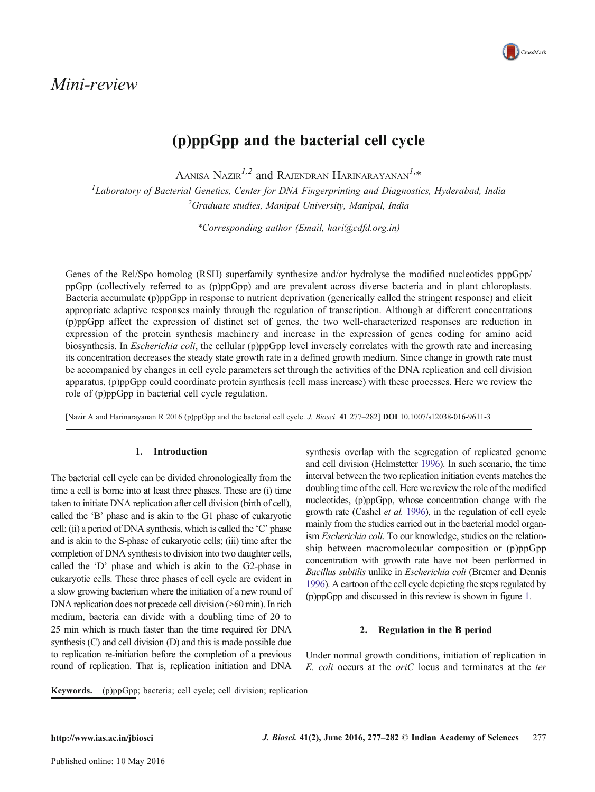# Mini-review



# (p)ppGpp and the bacterial cell cycle

Aanisa Nazir $^{l,2}$  and Rajendran Harinarayanan $^{l,\ast}$ 

<sup>1</sup>Laboratory of Bacterial Genetics, Center for DNA Fingerprinting and Diagnostics, Hyderabad, India <sup>2</sup>Graduate studies, Manipal University, Manipal, India

\*Corresponding author (Email, hari@cdfd.org.in)

Genes of the Rel/Spo homolog (RSH) superfamily synthesize and/or hydrolyse the modified nucleotides pppGpp/ ppGpp (collectively referred to as (p)ppGpp) and are prevalent across diverse bacteria and in plant chloroplasts. Bacteria accumulate (p)ppGpp in response to nutrient deprivation (generically called the stringent response) and elicit appropriate adaptive responses mainly through the regulation of transcription. Although at different concentrations (p)ppGpp affect the expression of distinct set of genes, the two well-characterized responses are reduction in expression of the protein synthesis machinery and increase in the expression of genes coding for amino acid biosynthesis. In *Escherichia coli*, the cellular (p)ppGpp level inversely correlates with the growth rate and increasing its concentration decreases the steady state growth rate in a defined growth medium. Since change in growth rate must be accompanied by changes in cell cycle parameters set through the activities of the DNA replication and cell division apparatus, (p)ppGpp could coordinate protein synthesis (cell mass increase) with these processes. Here we review the role of (p)ppGpp in bacterial cell cycle regulation.

[Nazir A and Harinarayanan R 2016 (p)ppGpp and the bacterial cell cycle. J. Biosci. 41 277–282] DOI 10.1007/s12038-016-9611-3

# 1. Introduction

The bacterial cell cycle can be divided chronologically from the time a cell is borne into at least three phases. These are (i) time taken to initiate DNA replication after cell division (birth of cell), called the 'B' phase and is akin to the G1 phase of eukaryotic cell; (ii) a period of DNA synthesis, which is called the 'C' phase and is akin to the S-phase of eukaryotic cells; (iii) time after the completion of DNA synthesis to division into two daughter cells, called the 'D' phase and which is akin to the G2-phase in eukaryotic cells. These three phases of cell cycle are evident in a slow growing bacterium where the initiation of a new round of DNA replication does not precede cell division (>60 min). In rich medium, bacteria can divide with a doubling time of 20 to 25 min which is much faster than the time required for DNA synthesis (C) and cell division (D) and this is made possible due to replication re-initiation before the completion of a previous round of replication. That is, replication initiation and DNA

synthesis overlap with the segregation of replicated genome and cell division (Helmstetter [1996](#page-4-0)). In such scenario, the time interval between the two replication initiation events matches the doubling time of the cell. Here we review the role of the modified nucleotides, (p)ppGpp, whose concentration change with the growth rate (Cashel et al. [1996\)](#page-3-0), in the regulation of cell cycle mainly from the studies carried out in the bacterial model organism Escherichia coli. To our knowledge, studies on the relationship between macromolecular composition or (p)ppGpp concentration with growth rate have not been performed in Bacillus subtilis unlike in Escherichia coli (Bremer and Dennis [1996](#page-3-0)). A cartoon of the cell cycle depicting the steps regulated by (p)ppGpp and discussed in this review is shown in figure [1](#page-1-0).

# 2. Regulation in the B period

Under normal growth conditions, initiation of replication in E. coli occurs at the oriC locus and terminates at the ter

Keywords. (p)ppGpp; bacteria; cell cycle; cell division; replication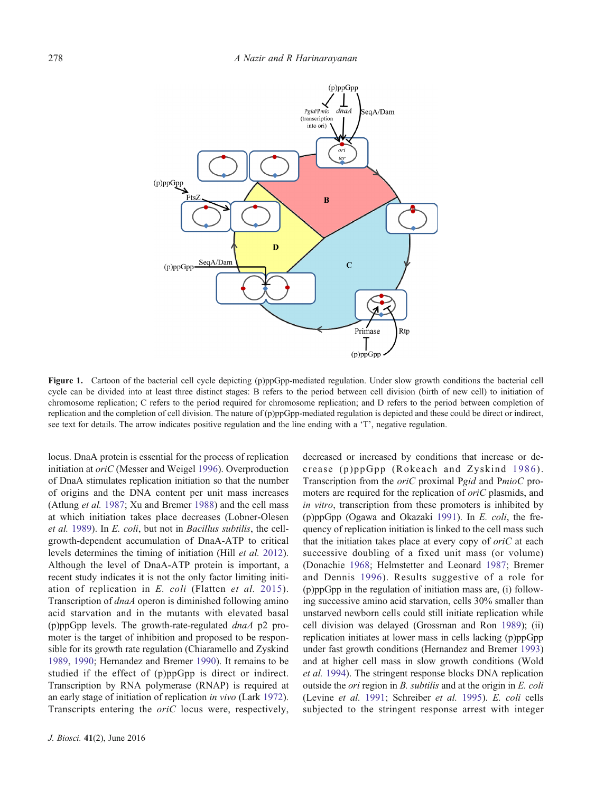<span id="page-1-0"></span>

Figure 1. Cartoon of the bacterial cell cycle depicting (p)ppGpp-mediated regulation. Under slow growth conditions the bacterial cell cycle can be divided into at least three distinct stages: B refers to the period between cell division (birth of new cell) to initiation of chromosome replication; C refers to the period required for chromosome replication; and D refers to the period between completion of replication and the completion of cell division. The nature of (p)ppGpp-mediated regulation is depicted and these could be direct or indirect, see text for details. The arrow indicates positive regulation and the line ending with a 'T', negative regulation.

locus. DnaA protein is essential for the process of replication initiation at oriC (Messer and Weigel [1996](#page-4-0)). Overproduction of DnaA stimulates replication initiation so that the number of origins and the DNA content per unit mass increases (Atlung et al. [1987;](#page-3-0) Xu and Bremer [1988](#page-5-0)) and the cell mass at which initiation takes place decreases (Lobner-Olesen et al. [1989\)](#page-4-0). In E. coli, but not in Bacillus subtilis, the cellgrowth-dependent accumulation of DnaA-ATP to critical levels determines the timing of initiation (Hill et al. [2012](#page-4-0)). Although the level of DnaA-ATP protein is important, a recent study indicates it is not the only factor limiting initiation of replication in E. coli (Flatten et al. [2015\)](#page-4-0). Transcription of dnaA operon is diminished following amino acid starvation and in the mutants with elevated basal (p)ppGpp levels. The growth-rate-regulated dnaA p2 promoter is the target of inhibition and proposed to be responsible for its growth rate regulation (Chiaramello and Zyskind [1989](#page-3-0), [1990;](#page-3-0) Hernandez and Bremer [1990](#page-4-0)). It remains to be studied if the effect of (p)ppGpp is direct or indirect. Transcription by RNA polymerase (RNAP) is required at an early stage of initiation of replication in vivo (Lark [1972](#page-4-0)). Transcripts entering the oriC locus were, respectively,

decreased or increased by conditions that increase or decrease (p)ppGpp (Rokeach and Zyskind [1986](#page-4-0)). Transcription from the oriC proximal Pgid and PmioC promoters are required for the replication of *oriC* plasmids, and in vitro, transcription from these promoters is inhibited by (p)ppGpp (Ogawa and Okazaki [1991](#page-4-0)). In E. coli, the frequency of replication initiation is linked to the cell mass such that the initiation takes place at every copy of  $oriC$  at each successive doubling of a fixed unit mass (or volume) (Donachie [1968](#page-3-0); Helmstetter and Leonard [1987;](#page-4-0) Bremer and Dennis [1996\)](#page-3-0). Results suggestive of a role for (p)ppGpp in the regulation of initiation mass are, (i) following successive amino acid starvation, cells 30% smaller than unstarved newborn cells could still initiate replication while cell division was delayed (Grossman and Ron [1989\)](#page-4-0); (ii) replication initiates at lower mass in cells lacking (p)ppGpp under fast growth conditions (Hernandez and Bremer [1993](#page-4-0)) and at higher cell mass in slow growth conditions (Wold et al. [1994](#page-5-0)). The stringent response blocks DNA replication outside the ori region in B. subtilis and at the origin in E. coli (Levine et al. [1991;](#page-4-0) Schreiber et al. [1995\)](#page-5-0). E. coli cells subjected to the stringent response arrest with integer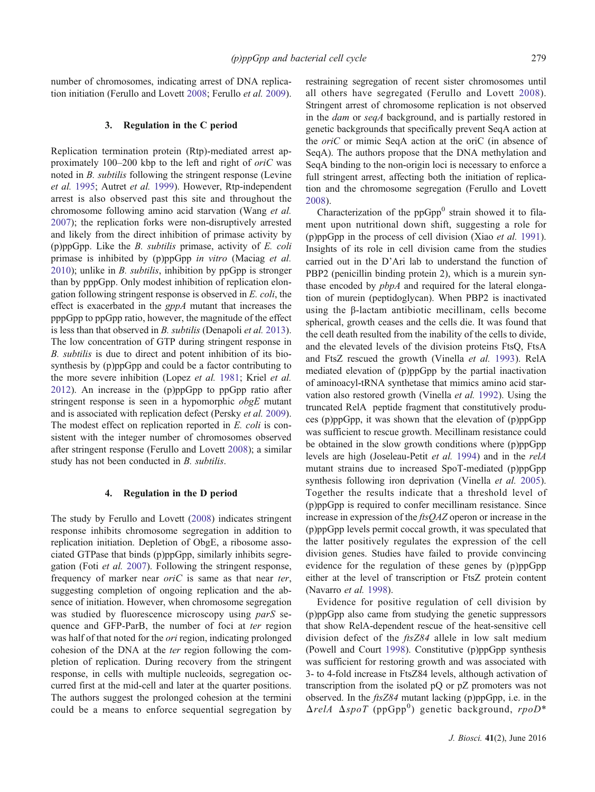number of chromosomes, indicating arrest of DNA replication initiation (Ferullo and Lovett [2008](#page-4-0); Ferullo et al. [2009](#page-4-0)).

# 3. Regulation in the C period

Replication termination protein (Rtp)-mediated arrest approximately 100–200 kbp to the left and right of oriC was noted in B. subtilis following the stringent response (Levine et al. [1995](#page-4-0); Autret et al. [1999](#page-3-0)). However, Rtp-independent arrest is also observed past this site and throughout the chromosome following amino acid starvation (Wang et al. [2007](#page-5-0)); the replication forks were non-disruptively arrested and likely from the direct inhibition of primase activity by (p)ppGpp. Like the  $B$ . *subtilis* primase, activity of  $E$ . *coli* primase is inhibited by (p)ppGpp in vitro (Maciag et al.  $2010$ ); unlike in *B. subtilis*, inhibition by ppGpp is stronger than by pppGpp. Only modest inhibition of replication elongation following stringent response is observed in E. coli, the effect is exacerbated in the gppA mutant that increases the pppGpp to ppGpp ratio, however, the magnitude of the effect is less than that observed in B. subtilis (Denapoli et al. [2013](#page-3-0)). The low concentration of GTP during stringent response in B. subtilis is due to direct and potent inhibition of its biosynthesis by (p)ppGpp and could be a factor contributing to the more severe inhibition (Lopez et al. [1981;](#page-4-0) Kriel et al. [2012](#page-4-0)). An increase in the (p)ppGpp to ppGpp ratio after stringent response is seen in a hypomorphic *obgE* mutant and is associated with replication defect (Persky et al. [2009](#page-4-0)). The modest effect on replication reported in E. coli is consistent with the integer number of chromosomes observed after stringent response (Ferullo and Lovett [2008](#page-4-0)); a similar study has not been conducted in B. subtilis.

#### 4. Regulation in the D period

The study by Ferullo and Lovett ([2008\)](#page-4-0) indicates stringent response inhibits chromosome segregation in addition to replication initiation. Depletion of ObgE, a ribosome associated GTPase that binds (p)ppGpp, similarly inhibits segregation (Foti et al. [2007\)](#page-4-0). Following the stringent response, frequency of marker near  $oriC$  is same as that near ter, suggesting completion of ongoing replication and the absence of initiation. However, when chromosome segregation was studied by fluorescence microscopy using *parS* sequence and GFP-ParB, the number of foci at ter region was half of that noted for the *ori* region, indicating prolonged cohesion of the DNA at the ter region following the completion of replication. During recovery from the stringent response, in cells with multiple nucleoids, segregation occurred first at the mid-cell and later at the quarter positions. The authors suggest the prolonged cohesion at the termini could be a means to enforce sequential segregation by restraining segregation of recent sister chromosomes until all others have segregated (Ferullo and Lovett [2008](#page-4-0)). Stringent arrest of chromosome replication is not observed in the dam or seqA background, and is partially restored in genetic backgrounds that specifically prevent SeqA action at the oriC or mimic SeqA action at the oriC (in absence of SeqA). The authors propose that the DNA methylation and SeqA binding to the non-origin loci is necessary to enforce a full stringent arrest, affecting both the initiation of replication and the chromosome segregation (Ferullo and Lovett [2008](#page-4-0)).

Characterization of the  $ppGpp<sup>0</sup>$  strain showed it to filament upon nutritional down shift, suggesting a role for (p)ppGpp in the process of cell division (Xiao et al. [1991](#page-5-0)). Insights of its role in cell division came from the studies carried out in the D'Ari lab to understand the function of PBP2 (penicillin binding protein 2), which is a murein synthase encoded by pbpA and required for the lateral elongation of murein (peptidoglycan). When PBP2 is inactivated using the β-lactam antibiotic mecillinam, cells become spherical, growth ceases and the cells die. It was found that the cell death resulted from the inability of the cells to divide, and the elevated levels of the division proteins FtsQ, FtsA and FtsZ rescued the growth (Vinella et al. [1993\)](#page-5-0). RelA mediated elevation of (p)ppGpp by the partial inactivation of aminoacyl-tRNA synthetase that mimics amino acid starvation also restored growth (Vinella et al. [1992](#page-5-0)). Using the truncated RelA peptide fragment that constitutively produces (p)ppGpp, it was shown that the elevation of (p)ppGpp was sufficient to rescue growth. Mecillinam resistance could be obtained in the slow growth conditions where (p)ppGpp levels are high (Joseleau-Petit et al. [1994](#page-4-0)) and in the relA mutant strains due to increased SpoT-mediated (p)ppGpp synthesis following iron deprivation (Vinella *et al.* [2005](#page-5-0)). Together the results indicate that a threshold level of (p)ppGpp is required to confer mecillinam resistance. Since increase in expression of the *ftsQAZ* operon or increase in the (p)ppGpp levels permit coccal growth, it was speculated that the latter positively regulates the expression of the cell division genes. Studies have failed to provide convincing evidence for the regulation of these genes by (p)ppGpp either at the level of transcription or FtsZ protein content (Navarro et al. [1998](#page-4-0)).

Evidence for positive regulation of cell division by (p)ppGpp also came from studying the genetic suppressors that show RelA-dependent rescue of the heat-sensitive cell division defect of the ftsZ84 allele in low salt medium (Powell and Court [1998\)](#page-4-0). Constitutive (p)ppGpp synthesis was sufficient for restoring growth and was associated with 3- to 4-fold increase in FtsZ84 levels, although activation of transcription from the isolated pQ or pZ promoters was not observed. In the ftsZ84 mutant lacking (p)ppGpp, i.e. in the ΔrelA ΔspoT (ppGpp<sup>0</sup> ) genetic background, rpoD\*

J. Biosci. 41(2), June 2016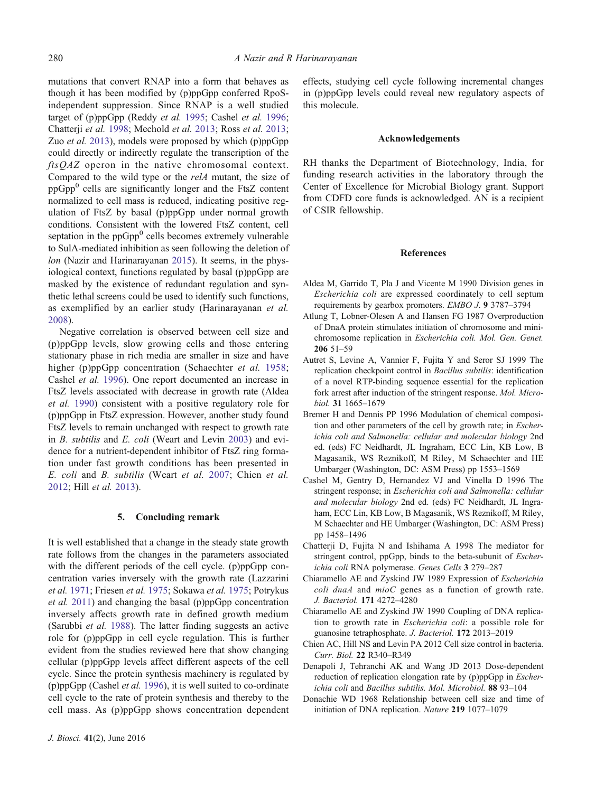<span id="page-3-0"></span>mutations that convert RNAP into a form that behaves as though it has been modified by (p)ppGpp conferred RpoSindependent suppression. Since RNAP is a well studied target of (p)ppGpp (Reddy et al. [1995](#page-4-0); Cashel et al. 1996; Chatterji et al. 1998; Mechold et al. [2013](#page-4-0); Ross et al. [2013](#page-4-0); Zuo et al. [2013\)](#page-5-0), models were proposed by which (p)ppGpp could directly or indirectly regulate the transcription of the ftsQAZ operon in the native chromosomal context. Compared to the wild type or the relA mutant, the size of ppGpp0 cells are significantly longer and the FtsZ content normalized to cell mass is reduced, indicating positive regulation of FtsZ by basal (p)ppGpp under normal growth conditions. Consistent with the lowered FtsZ content, cell septation in the  $ppGpp<sup>0</sup>$  cells becomes extremely vulnerable to SulA-mediated inhibition as seen following the deletion of lon (Nazir and Harinarayanan [2015](#page-4-0)). It seems, in the physiological context, functions regulated by basal (p)ppGpp are masked by the existence of redundant regulation and synthetic lethal screens could be used to identify such functions, as exemplified by an earlier study (Harinarayanan et al. [2008](#page-4-0)).

Negative correlation is observed between cell size and (p)ppGpp levels, slow growing cells and those entering stationary phase in rich media are smaller in size and have higher (p)ppGpp concentration (Schaechter et al. [1958](#page-5-0); Cashel et al. 1996). One report documented an increase in FtsZ levels associated with decrease in growth rate (Aldea et al. 1990) consistent with a positive regulatory role for (p)ppGpp in FtsZ expression. However, another study found FtsZ levels to remain unchanged with respect to growth rate in B. subtilis and E. coli (Weart and Levin [2003\)](#page-5-0) and evidence for a nutrient-dependent inhibitor of FtsZ ring formation under fast growth conditions has been presented in E. coli and B. subtilis (Weart et al. [2007;](#page-5-0) Chien et al. 2012; Hill et al. [2013\)](#page-4-0).

# 5. Concluding remark

It is well established that a change in the steady state growth rate follows from the changes in the parameters associated with the different periods of the cell cycle. (p)ppGpp concentration varies inversely with the growth rate (Lazzarini et al. [1971](#page-4-0); Friesen et al. [1975](#page-4-0); Sokawa et al. [1975;](#page-5-0) Potrykus et al. [2011\)](#page-4-0) and changing the basal (p)ppGpp concentration inversely affects growth rate in defined growth medium (Sarubbi et al. [1988\)](#page-4-0). The latter finding suggests an active role for (p)ppGpp in cell cycle regulation. This is further evident from the studies reviewed here that show changing cellular (p)ppGpp levels affect different aspects of the cell cycle. Since the protein synthesis machinery is regulated by (p)ppGpp (Cashel *et al.* 1996), it is well suited to co-ordinate cell cycle to the rate of protein synthesis and thereby to the cell mass. As (p)ppGpp shows concentration dependent effects, studying cell cycle following incremental changes in (p)ppGpp levels could reveal new regulatory aspects of this molecule.

#### Acknowledgements

RH thanks the Department of Biotechnology, India, for funding research activities in the laboratory through the Center of Excellence for Microbial Biology grant. Support from CDFD core funds is acknowledged. AN is a recipient of CSIR fellowship.

# References

- Aldea M, Garrido T, Pla J and Vicente M 1990 Division genes in Escherichia coli are expressed coordinately to cell septum requirements by gearbox promoters. EMBO J. 9 3787–3794
- Atlung T, Lobner-Olesen A and Hansen FG 1987 Overproduction of DnaA protein stimulates initiation of chromosome and minichromosome replication in Escherichia coli. Mol. Gen. Genet. 206 51–59
- Autret S, Levine A, Vannier F, Fujita Y and Seror SJ 1999 The replication checkpoint control in Bacillus subtilis: identification of a novel RTP-binding sequence essential for the replication fork arrest after induction of the stringent response. Mol. Microbiol. 31 1665–1679
- Bremer H and Dennis PP 1996 Modulation of chemical composition and other parameters of the cell by growth rate; in Escherichia coli and Salmonella: cellular and molecular biology 2nd ed. (eds) FC Neidhardt, JL Ingraham, ECC Lin, KB Low, B Magasanik, WS Reznikoff, M Riley, M Schaechter and HE Umbarger (Washington, DC: ASM Press) pp 1553–1569
- Cashel M, Gentry D, Hernandez VJ and Vinella D 1996 The stringent response; in Escherichia coli and Salmonella: cellular and molecular biology 2nd ed. (eds) FC Neidhardt, JL Ingraham, ECC Lin, KB Low, B Magasanik, WS Reznikoff, M Riley, M Schaechter and HE Umbarger (Washington, DC: ASM Press) pp 1458–1496
- Chatterji D, Fujita N and Ishihama A 1998 The mediator for stringent control, ppGpp, binds to the beta-subunit of Escherichia coli RNA polymerase. Genes Cells 3 279–287
- Chiaramello AE and Zyskind JW 1989 Expression of Escherichia coli dnaA and mioC genes as a function of growth rate. J. Bacteriol. 171 4272–4280
- Chiaramello AE and Zyskind JW 1990 Coupling of DNA replication to growth rate in Escherichia coli: a possible role for guanosine tetraphosphate. J. Bacteriol. 172 2013–2019
- Chien AC, Hill NS and Levin PA 2012 Cell size control in bacteria. Curr. Biol. 22 R340–R349
- Denapoli J, Tehranchi AK and Wang JD 2013 Dose-dependent reduction of replication elongation rate by (p)ppGpp in *Escher*ichia coli and Bacillus subtilis. Mol. Microbiol. 88 93–104
- Donachie WD 1968 Relationship between cell size and time of initiation of DNA replication. Nature 219 1077–1079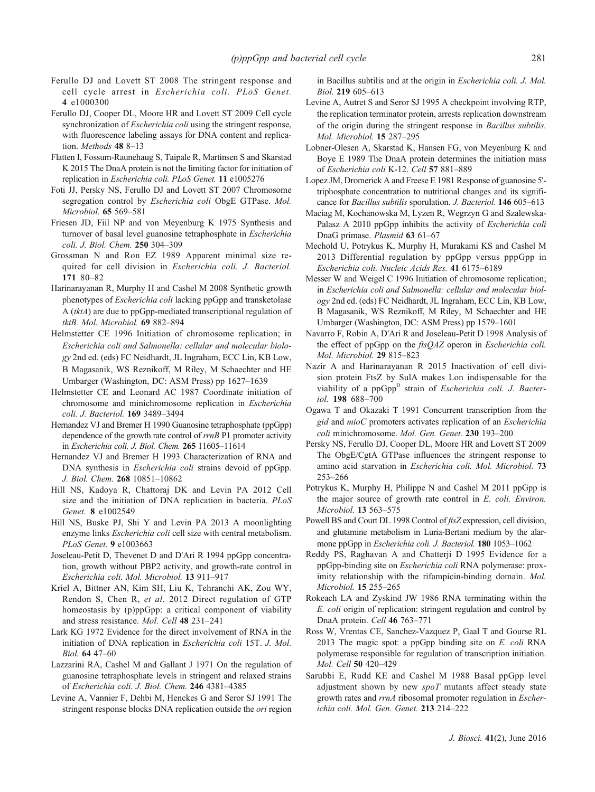- <span id="page-4-0"></span>Ferullo DJ and Lovett ST 2008 The stringent response and cell cycle arrest in Escherichia coli. PLoS Genet. 4 e1000300
- Ferullo DJ, Cooper DL, Moore HR and Lovett ST 2009 Cell cycle synchronization of Escherichia coli using the stringent response, with fluorescence labeling assays for DNA content and replication. Methods 48 8-13
- Flatten I, Fossum-Raunehaug S, Taipale R, Martinsen S and Skarstad K 2015 The DnaA protein is not the limiting factor for initiation of replication in Escherichia coli. PLoS Genet. 11 e1005276
- Foti JJ, Persky NS, Ferullo DJ and Lovett ST 2007 Chromosome segregation control by Escherichia coli ObgE GTPase. Mol. Microbiol. 65 569–581
- Friesen JD, Fiil NP and von Meyenburg K 1975 Synthesis and turnover of basal level guanosine tetraphosphate in Escherichia coli. J. Biol. Chem. 250 304–309
- Grossman N and Ron EZ 1989 Apparent minimal size required for cell division in Escherichia coli. J. Bacteriol. 171 80–82
- Harinarayanan R, Murphy H and Cashel M 2008 Synthetic growth phenotypes of Escherichia coli lacking ppGpp and transketolase A (tktA) are due to ppGpp-mediated transcriptional regulation of tktB. Mol. Microbiol. 69 882–894
- Helmstetter CE 1996 Initiation of chromosome replication; in Escherichia coli and Salmonella: cellular and molecular biology 2nd ed. (eds) FC Neidhardt, JL Ingraham, ECC Lin, KB Low, B Magasanik, WS Reznikoff, M Riley, M Schaechter and HE Umbarger (Washington, DC: ASM Press) pp 1627–1639
- Helmstetter CE and Leonard AC 1987 Coordinate initiation of chromosome and minichromosome replication in Escherichia coli. J. Bacteriol. 169 3489–3494
- Hernandez VJ and Bremer H 1990 Guanosine tetraphosphate (ppGpp) dependence of the growth rate control of *rrnB* P1 promoter activity in Escherichia coli. J. Biol. Chem. 265 11605–11614
- Hernandez VJ and Bremer H 1993 Characterization of RNA and DNA synthesis in Escherichia coli strains devoid of ppGpp. J. Biol. Chem. 268 10851–10862
- Hill NS, Kadoya R, Chattoraj DK and Levin PA 2012 Cell size and the initiation of DNA replication in bacteria. PLoS Genet. 8 e1002549
- Hill NS, Buske PJ, Shi Y and Levin PA 2013 A moonlighting enzyme links Escherichia coli cell size with central metabolism. PLoS Genet. 9 e1003663
- Joseleau-Petit D, Thevenet D and D'Ari R 1994 ppGpp concentration, growth without PBP2 activity, and growth-rate control in Escherichia coli. Mol. Microbiol. 13 911–917
- Kriel A, Bittner AN, Kim SH, Liu K, Tehranchi AK, Zou WY, Rendon S, Chen R, et al. 2012 Direct regulation of GTP homeostasis by (p)ppGpp: a critical component of viability and stress resistance. Mol. Cell 48 231–241
- Lark KG 1972 Evidence for the direct involvement of RNA in the initiation of DNA replication in Escherichia coli 15T. J. Mol. Biol. 64 47–60
- Lazzarini RA, Cashel M and Gallant J 1971 On the regulation of guanosine tetraphosphate levels in stringent and relaxed strains of Escherichia coli. J. Biol. Chem. 246 4381–4385
- Levine A, Vannier F, Dehbi M, Henckes G and Seror SJ 1991 The stringent response blocks DNA replication outside the ori region

in Bacillus subtilis and at the origin in Escherichia coli. J. Mol. Biol. 219 605–613

- Levine A, Autret S and Seror SJ 1995 A checkpoint involving RTP, the replication terminator protein, arrests replication downstream of the origin during the stringent response in Bacillus subtilis. Mol. Microbiol. 15 287–295
- Lobner-Olesen A, Skarstad K, Hansen FG, von Meyenburg K and Boye E 1989 The DnaA protein determines the initiation mass of Escherichia coli K-12. Cell 57 881–889
- Lopez JM, Dromerick A and Freese E 1981 Response of guanosine 5' triphosphate concentration to nutritional changes and its significance for Bacillus subtilis sporulation. J. Bacteriol. 146 605–613
- Maciag M, Kochanowska M, Lyzen R, Wegrzyn G and Szalewska-Palasz A 2010 ppGpp inhibits the activity of *Escherichia coli* DnaG primase. Plasmid 63 61–67
- Mechold U, Potrykus K, Murphy H, Murakami KS and Cashel M 2013 Differential regulation by ppGpp versus pppGpp in Escherichia coli. Nucleic Acids Res. 41 6175–6189
- Messer W and Weigel C 1996 Initiation of chromosome replication; in Escherichia coli and Salmonella: cellular and molecular biology 2nd ed. (eds) FC Neidhardt, JL Ingraham, ECC Lin, KB Low, B Magasanik, WS Reznikoff, M Riley, M Schaechter and HE Umbarger (Washington, DC: ASM Press) pp 1579–1601
- Navarro F, Robin A, D'Ari R and Joseleau-Petit D 1998 Analysis of the effect of ppGpp on the ftsQAZ operon in Escherichia coli. Mol. Microbiol. 29 815–823
- Nazir A and Harinarayanan R 2015 Inactivation of cell division protein FtsZ by SulA makes Lon indispensable for the viability of a ppGpp<sup>0</sup> strain of Escherichia coli. J. Bacteriol. 198 688–700
- Ogawa T and Okazaki T 1991 Concurrent transcription from the gid and mioC promoters activates replication of an Escherichia coli minichromosome. Mol. Gen. Genet. 230 193–200
- Persky NS, Ferullo DJ, Cooper DL, Moore HR and Lovett ST 2009 The ObgE/CgtA GTPase influences the stringent response to amino acid starvation in Escherichia coli. Mol. Microbiol. 73 253–266
- Potrykus K, Murphy H, Philippe N and Cashel M 2011 ppGpp is the major source of growth rate control in E. coli. Environ. Microbiol. 13 563–575
- Powell BS and Court DL 1998 Control of  $\hat{f}$ tsZ expression, cell division, and glutamine metabolism in Luria-Bertani medium by the alarmone ppGpp in Escherichia coli. J. Bacteriol. 180 1053–1062
- Reddy PS, Raghavan A and Chatterji D 1995 Evidence for a ppGpp-binding site on Escherichia coli RNA polymerase: proximity relationship with the rifampicin-binding domain. Mol. Microbiol. 15 255–265
- Rokeach LA and Zyskind JW 1986 RNA terminating within the E. coli origin of replication: stringent regulation and control by DnaA protein. Cell 46 763–771
- Ross W, Vrentas CE, Sanchez-Vazquez P, Gaal T and Gourse RL 2013 The magic spot: a ppGpp binding site on E. coli RNA polymerase responsible for regulation of transcription initiation. Mol. Cell 50 420–429
- Sarubbi E, Rudd KE and Cashel M 1988 Basal ppGpp level adjustment shown by new  $spoT$  mutants affect steady state growth rates and rrnA ribosomal promoter regulation in Escherichia coli. Mol. Gen. Genet. 213 214–222